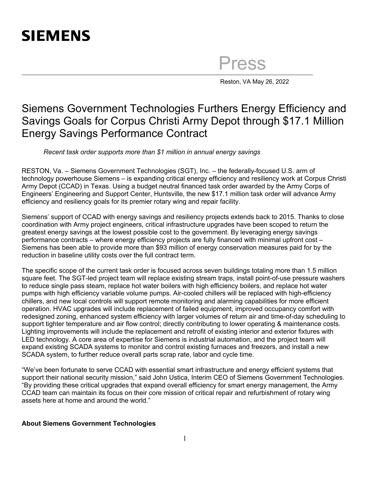## **SIEMENS**

Press

Reston, VA May 26, 2022

## Siemens Government Technologies Furthers Energy Efficiency and Savings Goals for Corpus Christi Army Depot through \$17.1 Million Energy Savings Performance Contract

*Recent task order supports more than \$1 million in annual energy savings* 

RESTON, Va. – Siemens Government Technologies (SGT), Inc. – the federally-focused U.S. arm of technology powerhouse Siemens – is expanding critical energy efficiency and resiliency work at Corpus Christi Army Depot (CCAD) in Texas. Using a budget neutral financed task order awarded by the Army Corps of Engineers' Engineering and Support Center, Huntsville, the new \$17.1 million task order will advance Army efficiency and resiliency goals for its premier rotary wing and repair facility.

Siemens' support of CCAD with energy savings and resiliency projects extends back to 2015. Thanks to close coordination with Army project engineers, critical infrastructure upgrades have been scoped to return the greatest energy savings at the lowest possible cost to the government. By leveraging energy savings performance contracts – where energy efficiency projects are fully financed with minimal upfront cost – Siemens has been able to provide more than \$93 million of energy conservation measures paid for by the reduction in baseline utility costs over the full contract term.

The specific scope of the current task order is focused across seven buildings totaling more than 1.5 million square feet. The SGT-led project team will replace existing stream traps, install point-of-use pressure washers to reduce single pass steam, replace hot water boilers with high efficiency boilers, and replace hot water pumps with high efficiency variable volume pumps. Air-cooled chillers will be replaced with high-efficiency chillers, and new local controls will support remote monitoring and alarming capabilities for more efficient operation. HVAC upgrades will include replacement of failed equipment, improved occupancy comfort with redesigned zoning, enhanced system efficiency with larger volumes of return air and time-of-day scheduling to support tighter temperature and air flow control; directly contributing to lower operating & maintenance costs. Lighting improvements will include the replacement and retrofit of existing interior and exterior fixtures with LED technology. A core area of expertise for Siemens is industrial automation, and the project team will expand existing SCADA systems to monitor and control existing furnaces and freezers, and install a new SCADA system, to further reduce overall parts scrap rate, labor and cycle time.

"We've been fortunate to serve CCAD with essential smart infrastructure and energy efficient systems that support their national security mission," said John Ustica, Interim CEO of Siemens Government Technologies. "By providing these critical upgrades that expand overall efficiency for smart energy management, the Army CCAD team can maintain its focus on their core mission of critical repair and refurbishment of rotary wing assets here at home and around the world."

## **About Siemens Government Technologies**